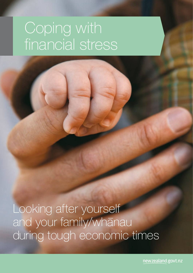# Coping with financial stress

Looking after yourself and your family/whanau during tough economic times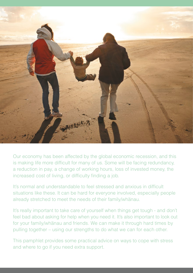

Our economy has been affected by the global economic recession, and this is making life more difficult for many of us. Some will be facing redundancy, a reduction in pay, a change of working hours, loss of invested money, the increased cost of living, or difficulty finding a job.

It's normal and understandable to feel stressed and anxious in difficult situations like these. It can be hard for everyone involved, especially people already stretched to meet the needs of their family/whanau.

It's really important to take care of yourself when things get tough - and don't feel bad about asking for help when you need it. It's also important to look out for your family/whanau and friends. We can make it through hard times by pulling together – using our strengths to do what we can for each other.

This pamphlet provides some practical advice on ways to cope with stress and where to go if you need extra support.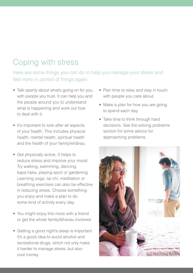# Coping with stress

Here are some things you can do to help you manage your stress and feel more in control of things again.

- Talk openly about what's going on for you, with people you trust. It can help you and the people around you to understand what is happening and work out how to deal with it.
- It's important to look after all aspects of your health. This includes physical health, mental health, spiritual health and the health of your family/whanau.
- Get physically active. It helps to reduce stress and improve your mood. Try walking, swimming, dancing, kapa haka, playing sport or gardening. Learning yoga, tai chi, meditation or breathing exercises can also be effective in reducing stress. Choose something you enjoy and make a plan to do some kind of activity every day.
- You might enjoy this more with a friend or get the whole family/whanau involved.
- Getting a good night's sleep is important. It's a good idea to avoid alcohol and recreational drugs, which not only make it harder to manage stress, but also cost money.
- Plan time to relax and stay in touch with people you care about.
- Make a plan for how you are going to spend each day.
- Take time to think through hard decisions. See the solving problems section for some advice for approaching problems.

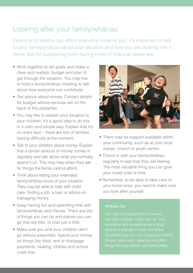# Looking after your family/whanau

Financial problems can affect everyone close to you. It's important to talk to your family/whanau about your situation and how you are dealing with it. Some tips for supporting them during times of financial stress are:

- Work together to set goals and make a clear and realistic budget and plan to get through the situation. You may like to hold a family/whanau meeting to talk about how everyone can contribute.
- Get advice about money. Contact details for budget advice services are on the back of this pamphlet.
- You may like to explain your situation to your children. It's a good idea to do this in a calm and simple way. Explain that it's no one's fault – there are lots of families having difficulty at the moment.
- Talk to your children about money. Explain that a certain amount of money comes in regularly and talk about what you normally spend it on. This may help when they ask for things the family cannot afford.
- Think about letting your extended family/whanau know of your situation. They may be able to help with child care, finding a job, a loan or advice on managing money.
- Keep having fun and spending time with family/whanau and friends. There are lots of things you can do and places you can go that are free, or cost just a little.
- Make sure you and your children don't go without essentials. Spend your money on things like food, rent or mortgage payments, heating, clothes and school costs first.



- There may be support available within your community, such as at your local marae, church or youth centre.
- Check in with your family/whanau regularly to see how they are feeling. The most valuable thing you can give your loved ones is time.
- Remember, to be able to take care of your loved ones, you need to make sure you look after yourself.

#### Whanau Ora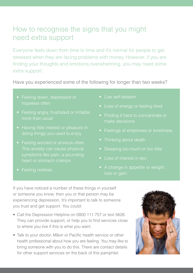## How to recognise the signs that you might need extra support

Everyone feels down from time to time and it's normal for people to get stressed when they are facing problems with money. However, if you are finding your thoughts and emotions overwhelming, you may need some extra support.

Have you experienced some of the following for longer than two weeks?

- hopeless often
- more than usual
- 
- 
- 
- I ow self-esteem
- 
- make decisions
- 
- 
- 
- Loss of interest in sex
- A change in appetite or weight

If you have noticed a number of these things in yourself or someone you know, then you or that person may be experiencing depression. It's important to talk to someone you trust and get support. You could:

- Call the Depression Helpline on 0800 111 757 or text 5626. They can provide support, or help you to find services close to where you live if this is what you want.
- Talk to your doctor, Maori or Pacific health service or other health professional about how you are feeling. You may like to bring someone with you to do this. There are contact details for other support services on the back of this pamphlet.

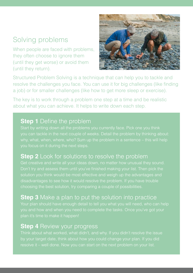# Solving problems

When people are faced with problems, they often choose to ignore them (until they get worse) or avoid them (until they return).



Structured Problem Solving is a technique that can help you to tackle and resolve the challenges you face. You can use it for big challenges (like finding a job) or for smaller challenges (like how to get more sleep or exercise).

The key is to work through a problem one step at a time and be realistic about what you can achieve. It helps to write down each step.

### **Step 1** Define the problem

## **Step 2** Look for solutions to resolve the problem

disadvantages to see how it would resolve the problem. If you have trouble

## **Step 3** Make a plan to put the solution into practice

## **Step 4** Review your progress

by your target date, think about how you could change your plan. If you did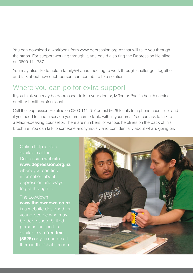You can download a workbook from www.depression.org.nz that will take you through the steps. For support working through it, you could also ring the Depression Helpline on 0800 111 757.

You may also like to hold a family/whanau meeting to work through challenges together and talk about how each person can contribute to a solution.

## Where you can go for extra support

If you think you may be depressed, talk to your doctor, Maori or Pacific health service, or other health professional.

Call the Depression Helpline on 0800 111 757 or text 5626 to talk to a phone counsellor and if you need to, find a service you are comfortable with in your area. You can ask to talk to a Maori-speaking counsellor. There are numbers for various helplines on the back of this brochure. You can talk to someone anonymously and confidentially about what's going on.

available at the Depression website **www.depression.org.nz**  information about depression and ways to get through it.

The Lowdown **www.thelowdown.co.nz** young people who may be depressed. Skilled personal support is available via **free text (5626)** or you can email